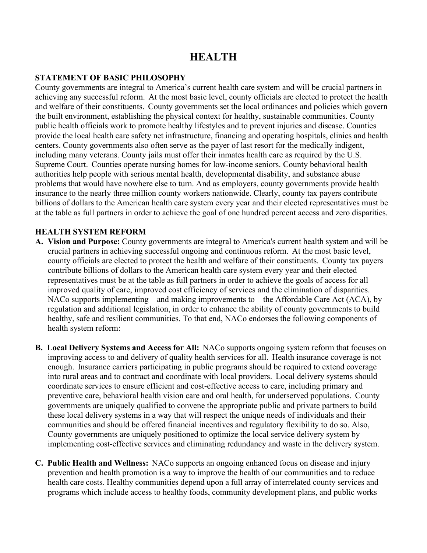# **HEALTH**

### **STATEMENT OF BASIC PHILOSOPHY**

County governments are integral to America's current health care system and will be crucial partners in achieving any successful reform. At the most basic level, county officials are elected to protect the health and welfare of their constituents. County governments set the local ordinances and policies which govern the built environment, establishing the physical context for healthy, sustainable communities. County public health officials work to promote healthy lifestyles and to prevent injuries and disease. Counties provide the local health care safety net infrastructure, financing and operating hospitals, clinics and health centers. County governments also often serve as the payer of last resort for the medically indigent, including many veterans. County jails must offer their inmates health care as required by the U.S. Supreme Court. Counties operate nursing homes for low-income seniors. County behavioral health authorities help people with serious mental health, developmental disability, and substance abuse problems that would have nowhere else to turn. And as employers, county governments provide health insurance to the nearly three million county workers nationwide. Clearly, county tax payers contribute billions of dollars to the American health care system every year and their elected representatives must be at the table as full partners in order to achieve the goal of one hundred percent access and zero disparities.

## **HEALTH SYSTEM REFORM**

- **A. Vision and Purpose:** County governments are integral to America's current health system and will be crucial partners in achieving successful ongoing and continuous reform. At the most basic level, county officials are elected to protect the health and welfare of their constituents. County tax payers contribute billions of dollars to the American health care system every year and their elected representatives must be at the table as full partners in order to achieve the goals of access for all improved quality of care, improved cost efficiency of services and the elimination of disparities. NACo supports implementing – and making improvements to – the Affordable Care Act (ACA), by regulation and additional legislation, in order to enhance the ability of county governments to build healthy, safe and resilient communities. To that end, NACo endorses the following components of health system reform:
- **B. Local Delivery Systems and Access for All:** NACo supports ongoing system reform that focuses on improving access to and delivery of quality health services for all. Health insurance coverage is not enough. Insurance carriers participating in public programs should be required to extend coverage into rural areas and to contract and coordinate with local providers. Local delivery systems should coordinate services to ensure efficient and cost-effective access to care, including primary and preventive care, behavioral health vision care and oral health, for underserved populations. County governments are uniquely qualified to convene the appropriate public and private partners to build these local delivery systems in a way that will respect the unique needs of individuals and their communities and should be offered financial incentives and regulatory flexibility to do so. Also, County governments are uniquely positioned to optimize the local service delivery system by implementing cost-effective services and eliminating redundancy and waste in the delivery system.
- **C. Public Health and Wellness:** NACo supports an ongoing enhanced focus on disease and injury prevention and health promotion is a way to improve the health of our communities and to reduce health care costs. Healthy communities depend upon a full array of interrelated county services and programs which include access to healthy foods, community development plans, and public works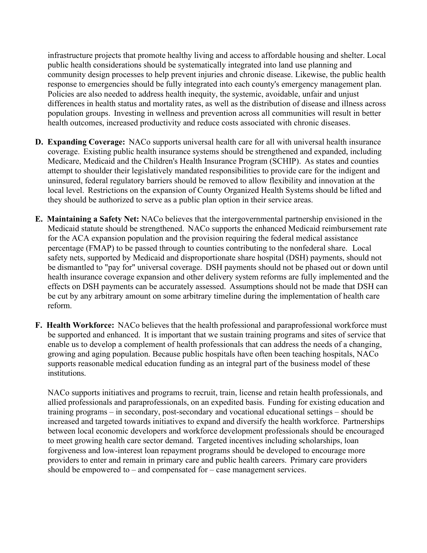infrastructure projects that promote healthy living and access to affordable housing and shelter. Local public health considerations should be systematically integrated into land use planning and community design processes to help prevent injuries and chronic disease. Likewise, the public health response to emergencies should be fully integrated into each county's emergency management plan. Policies are also needed to address health inequity, the systemic, avoidable, unfair and unjust differences in health status and mortality rates, as well as the distribution of disease and illness across population groups. Investing in wellness and prevention across all communities will result in better health outcomes, increased productivity and reduce costs associated with chronic diseases.

- **D. Expanding Coverage:** NACo supports universal health care for all with universal health insurance coverage. Existing public health insurance systems should be strengthened and expanded, including Medicare, Medicaid and the Children's Health Insurance Program (SCHIP). As states and counties attempt to shoulder their legislatively mandated responsibilities to provide care for the indigent and uninsured, federal regulatory barriers should be removed to allow flexibility and innovation at the local level. Restrictions on the expansion of County Organized Health Systems should be lifted and they should be authorized to serve as a public plan option in their service areas.
- **E. Maintaining a Safety Net:** NACo believes that the intergovernmental partnership envisioned in the Medicaid statute should be strengthened. NACo supports the enhanced Medicaid reimbursement rate for the ACA expansion population and the provision requiring the federal medical assistance percentage (FMAP) to be passed through to counties contributing to the nonfederal share. Local safety nets, supported by Medicaid and disproportionate share hospital (DSH) payments, should not be dismantled to "pay for" universal coverage. DSH payments should not be phased out or down until health insurance coverage expansion and other delivery system reforms are fully implemented and the effects on DSH payments can be accurately assessed. Assumptions should not be made that DSH can be cut by any arbitrary amount on some arbitrary timeline during the implementation of health care reform.
- **F. Health Workforce:** NACo believes that the health professional and paraprofessional workforce must be supported and enhanced. It is important that we sustain training programs and sites of service that enable us to develop a complement of health professionals that can address the needs of a changing, growing and aging population. Because public hospitals have often been teaching hospitals, NACo supports reasonable medical education funding as an integral part of the business model of these institutions.

NACo supports initiatives and programs to recruit, train, license and retain health professionals, and allied professionals and paraprofessionals, on an expedited basis. Funding for existing education and training programs – in secondary, post-secondary and vocational educational settings – should be increased and targeted towards initiatives to expand and diversify the health workforce. Partnerships between local economic developers and workforce development professionals should be encouraged to meet growing health care sector demand. Targeted incentives including scholarships, loan forgiveness and low-interest loan repayment programs should be developed to encourage more providers to enter and remain in primary care and public health careers. Primary care providers should be empowered to – and compensated for – case management services.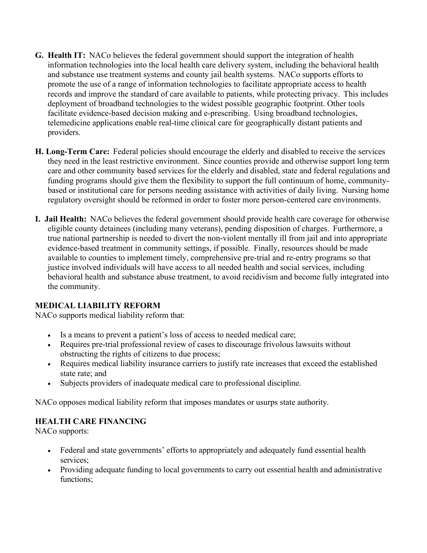- **G. Health IT:** NACo believes the federal government should support the integration of health information technologies into the local health care delivery system, including the behavioral health and substance use treatment systems and county jail health systems. NACo supports efforts to promote the use of a range of information technologies to facilitate appropriate access to health records and improve the standard of care available to patients, while protecting privacy. This includes deployment of broadband technologies to the widest possible geographic footprint. Other tools facilitate evidence-based decision making and e-prescribing. Using broadband technologies, telemedicine applications enable real-time clinical care for geographically distant patients and providers.
- **H. Long-Term Care:** Federal policies should encourage the elderly and disabled to receive the services they need in the least restrictive environment. Since counties provide and otherwise support long term care and other community based services for the elderly and disabled, state and federal regulations and funding programs should give them the flexibility to support the full continuum of home, communitybased or institutional care for persons needing assistance with activities of daily living. Nursing home regulatory oversight should be reformed in order to foster more person-centered care environments.
- **I. Jail Health:** NACo believes the federal government should provide health care coverage for otherwise eligible county detainees (including many veterans), pending disposition of charges. Furthermore, a true national partnership is needed to divert the non-violent mentally ill from jail and into appropriate evidence-based treatment in community settings, if possible. Finally, resources should be made available to counties to implement timely, comprehensive pre-trial and re-entry programs so that justice involved individuals will have access to all needed health and social services, including behavioral health and substance abuse treatment, to avoid recidivism and become fully integrated into the community.

## **MEDICAL LIABILITY REFORM**

NACo supports medical liability reform that:

- Is a means to prevent a patient's loss of access to needed medical care;
- Requires pre-trial professional review of cases to discourage frivolous lawsuits without obstructing the rights of citizens to due process;
- Requires medical liability insurance carriers to justify rate increases that exceed the established state rate; and
- Subjects providers of inadequate medical care to professional discipline.

NACo opposes medical liability reform that imposes mandates or usurps state authority.

## **HEALTH CARE FINANCING**

NACo supports:

- Federal and state governments' efforts to appropriately and adequately fund essential health services;
- Providing adequate funding to local governments to carry out essential health and administrative functions;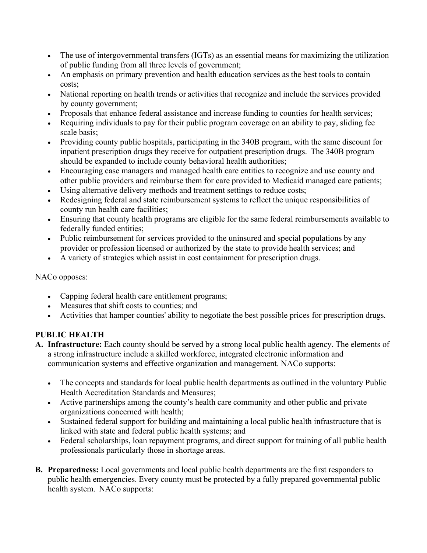- The use of intergovernmental transfers (IGTs) as an essential means for maximizing the utilization of public funding from all three levels of government;
- An emphasis on primary prevention and health education services as the best tools to contain costs;
- National reporting on health trends or activities that recognize and include the services provided by county government;
- Proposals that enhance federal assistance and increase funding to counties for health services;
- Requiring individuals to pay for their public program coverage on an ability to pay, sliding fee scale basis;
- Providing county public hospitals, participating in the 340B program, with the same discount for inpatient prescription drugs they receive for outpatient prescription drugs. The 340B program should be expanded to include county behavioral health authorities;
- Encouraging case managers and managed health care entities to recognize and use county and other public providers and reimburse them for care provided to Medicaid managed care patients;
- Using alternative delivery methods and treatment settings to reduce costs;
- Redesigning federal and state reimbursement systems to reflect the unique responsibilities of county run health care facilities;
- Ensuring that county health programs are eligible for the same federal reimbursements available to federally funded entities;
- Public reimbursement for services provided to the uninsured and special populations by any provider or profession licensed or authorized by the state to provide health services; and
- A variety of strategies which assist in cost containment for prescription drugs.

## NACo opposes:

- Capping federal health care entitlement programs;
- Measures that shift costs to counties; and
- Activities that hamper counties' ability to negotiate the best possible prices for prescription drugs.

# **PUBLIC HEALTH**

- **A. Infrastructure:** Each county should be served by a strong local public health agency. The elements of a strong infrastructure include a skilled workforce, integrated electronic information and communication systems and effective organization and management. NACo supports:
	- The concepts and standards for local public health departments as outlined in the voluntary Public Health Accreditation Standards and Measures;
	- Active partnerships among the county's health care community and other public and private organizations concerned with health;
	- Sustained federal support for building and maintaining a local public health infrastructure that is linked with state and federal public health systems; and
	- Federal scholarships, loan repayment programs, and direct support for training of all public health professionals particularly those in shortage areas.
- **B. Preparedness:** Local governments and local public health departments are the first responders to public health emergencies. Every county must be protected by a fully prepared governmental public health system. NACo supports: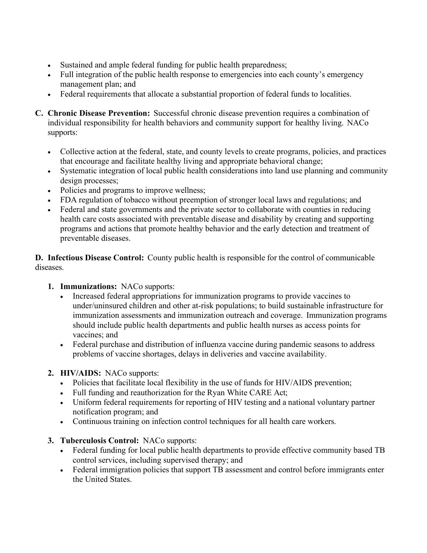- Sustained and ample federal funding for public health preparedness;
- Full integration of the public health response to emergencies into each county's emergency management plan; and
- Federal requirements that allocate a substantial proportion of federal funds to localities.
- **C. Chronic Disease Prevention:** Successful chronic disease prevention requires a combination of individual responsibility for health behaviors and community support for healthy living. NACo supports:
	- Collective action at the federal, state, and county levels to create programs, policies, and practices that encourage and facilitate healthy living and appropriate behavioral change;
	- Systematic integration of local public health considerations into land use planning and community design processes;
	- Policies and programs to improve wellness;
	- FDA regulation of tobacco without preemption of stronger local laws and regulations; and
	- Federal and state governments and the private sector to collaborate with counties in reducing health care costs associated with preventable disease and disability by creating and supporting programs and actions that promote healthy behavior and the early detection and treatment of preventable diseases.

**D. Infectious Disease Control:** County public health is responsible for the control of communicable diseases.

## **1. Immunizations:** NACo supports:

- Increased federal appropriations for immunization programs to provide vaccines to under/uninsured children and other at-risk populations; to build sustainable infrastructure for immunization assessments and immunization outreach and coverage. Immunization programs should include public health departments and public health nurses as access points for vaccines; and
- Federal purchase and distribution of influenza vaccine during pandemic seasons to address problems of vaccine shortages, delays in deliveries and vaccine availability.

# **2. HIV/AIDS:** NACo supports:

- Policies that facilitate local flexibility in the use of funds for HIV/AIDS prevention;
- Full funding and reauthorization for the Ryan White CARE Act;
- Uniform federal requirements for reporting of HIV testing and a national voluntary partner notification program; and
- Continuous training on infection control techniques for all health care workers.
- **3. Tuberculosis Control:** NACo supports:
	- Federal funding for local public health departments to provide effective community based TB control services, including supervised therapy; and
	- Federal immigration policies that support TB assessment and control before immigrants enter the United States.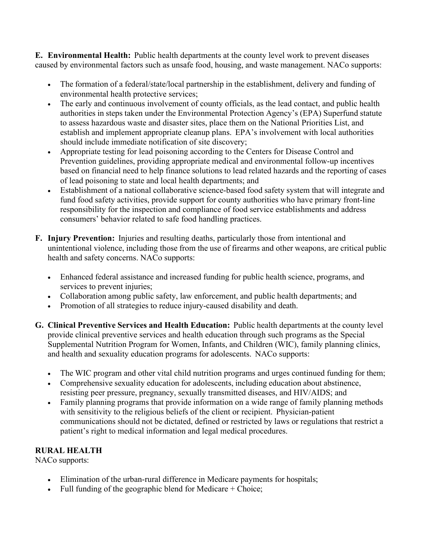**E. Environmental Health:** Public health departments at the county level work to prevent diseases caused by environmental factors such as unsafe food, housing, and waste management. NACo supports:

- The formation of a federal/state/local partnership in the establishment, delivery and funding of environmental health protective services;
- The early and continuous involvement of county officials, as the lead contact, and public health authorities in steps taken under the Environmental Protection Agency's (EPA) Superfund statute to assess hazardous waste and disaster sites, place them on the National Priorities List, and establish and implement appropriate cleanup plans. EPA's involvement with local authorities should include immediate notification of site discovery;
- Appropriate testing for lead poisoning according to the Centers for Disease Control and Prevention guidelines, providing appropriate medical and environmental follow-up incentives based on financial need to help finance solutions to lead related hazards and the reporting of cases of lead poisoning to state and local health departments; and
- Establishment of a national collaborative science-based food safety system that will integrate and fund food safety activities, provide support for county authorities who have primary front-line responsibility for the inspection and compliance of food service establishments and address consumers' behavior related to safe food handling practices.
- **F. Injury Prevention:** Injuries and resulting deaths, particularly those from intentional and unintentional violence, including those from the use of firearms and other weapons, are critical public health and safety concerns. NACo supports:
	- Enhanced federal assistance and increased funding for public health science, programs, and services to prevent injuries;
	- Collaboration among public safety, law enforcement, and public health departments; and
	- Promotion of all strategies to reduce injury-caused disability and death.
- **G. Clinical Preventive Services and Health Education:** Public health departments at the county level provide clinical preventive services and health education through such programs as the Special Supplemental Nutrition Program for Women, Infants, and Children (WIC), family planning clinics, and health and sexuality education programs for adolescents. NACo supports:
	- The WIC program and other vital child nutrition programs and urges continued funding for them;
	- Comprehensive sexuality education for adolescents, including education about abstinence, resisting peer pressure, pregnancy, sexually transmitted diseases, and HIV/AIDS; and
	- Family planning programs that provide information on a wide range of family planning methods with sensitivity to the religious beliefs of the client or recipient. Physician-patient communications should not be dictated, defined or restricted by laws or regulations that restrict a patient's right to medical information and legal medical procedures.

# **RURAL HEALTH**

NACo supports:

- Elimination of the urban-rural difference in Medicare payments for hospitals;
- Full funding of the geographic blend for Medicare  $+$  Choice;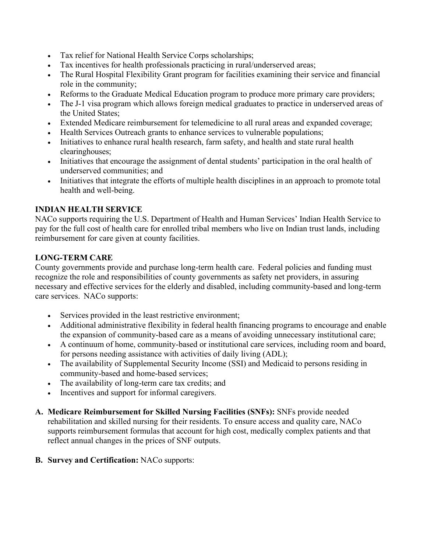- Tax relief for National Health Service Corps scholarships;
- Tax incentives for health professionals practicing in rural/underserved areas;
- The Rural Hospital Flexibility Grant program for facilities examining their service and financial role in the community;
- Reforms to the Graduate Medical Education program to produce more primary care providers;
- The J-1 visa program which allows foreign medical graduates to practice in underserved areas of the United States;
- Extended Medicare reimbursement for telemedicine to all rural areas and expanded coverage;
- Health Services Outreach grants to enhance services to vulnerable populations;
- Initiatives to enhance rural health research, farm safety, and health and state rural health clearinghouses;
- Initiatives that encourage the assignment of dental students' participation in the oral health of underserved communities; and
- Initiatives that integrate the efforts of multiple health disciplines in an approach to promote total health and well-being.

## **INDIAN HEALTH SERVICE**

NACo supports requiring the U.S. Department of Health and Human Services' Indian Health Service to pay for the full cost of health care for enrolled tribal members who live on Indian trust lands, including reimbursement for care given at county facilities.

## **LONG-TERM CARE**

County governments provide and purchase long-term health care. Federal policies and funding must recognize the role and responsibilities of county governments as safety net providers, in assuring necessary and effective services for the elderly and disabled, including community-based and long-term care services. NACo supports:

- Services provided in the least restrictive environment;
- Additional administrative flexibility in federal health financing programs to encourage and enable the expansion of community-based care as a means of avoiding unnecessary institutional care;
- A continuum of home, community-based or institutional care services, including room and board, for persons needing assistance with activities of daily living (ADL);
- The availability of Supplemental Security Income (SSI) and Medicaid to persons residing in community-based and home-based services;
- The availability of long-term care tax credits; and
- Incentives and support for informal caregivers.
- **A. Medicare Reimbursement for Skilled Nursing Facilities (SNFs):** SNFs provide needed rehabilitation and skilled nursing for their residents. To ensure access and quality care, NACo supports reimbursement formulas that account for high cost, medically complex patients and that reflect annual changes in the prices of SNF outputs.
- **B. Survey and Certification:** NACo supports: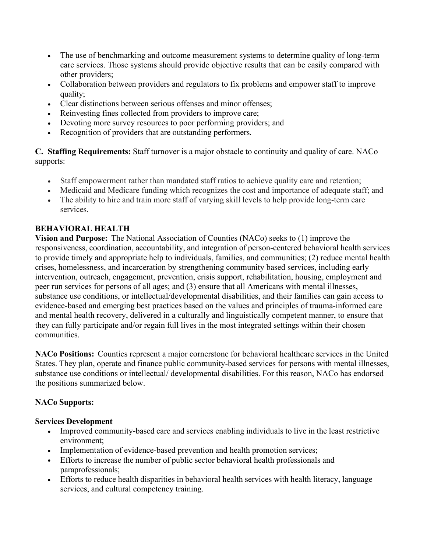- The use of benchmarking and outcome measurement systems to determine quality of long-term care services. Those systems should provide objective results that can be easily compared with other providers;
- Collaboration between providers and regulators to fix problems and empower staff to improve quality;
- Clear distinctions between serious offenses and minor offenses;
- Reinvesting fines collected from providers to improve care;
- Devoting more survey resources to poor performing providers; and
- Recognition of providers that are outstanding performers.

**C. Staffing Requirements:** Staff turnover is a major obstacle to continuity and quality of care. NACo supports:

- Staff empowerment rather than mandated staff ratios to achieve quality care and retention;
- Medicaid and Medicare funding which recognizes the cost and importance of adequate staff; and
- The ability to hire and train more staff of varying skill levels to help provide long-term care services.

## **BEHAVIORAL HEALTH**

**Vision and Purpose:** The National Association of Counties (NACo) seeks to (1) improve the responsiveness, coordination, accountability, and integration of person-centered behavioral health services to provide timely and appropriate help to individuals, families, and communities; (2) reduce mental health crises, homelessness, and incarceration by strengthening community based services, including early intervention, outreach, engagement, prevention, crisis support, rehabilitation, housing, employment and peer run services for persons of all ages; and (3) ensure that all Americans with mental illnesses, substance use conditions, or intellectual/developmental disabilities, and their families can gain access to evidence-based and emerging best practices based on the values and principles of trauma-informed care and mental health recovery, delivered in a culturally and linguistically competent manner, to ensure that they can fully participate and/or regain full lives in the most integrated settings within their chosen communities.

**NACo Positions:** Counties represent a major cornerstone for behavioral healthcare services in the United States. They plan, operate and finance public community-based services for persons with mental illnesses, substance use conditions or intellectual/ developmental disabilities. For this reason, NACo has endorsed the positions summarized below.

## **NACo Supports:**

## **Services Development**

- Improved community-based care and services enabling individuals to live in the least restrictive environment;
- Implementation of evidence-based prevention and health promotion services;
- Efforts to increase the number of public sector behavioral health professionals and paraprofessionals;
- Efforts to reduce health disparities in behavioral health services with health literacy, language services, and cultural competency training.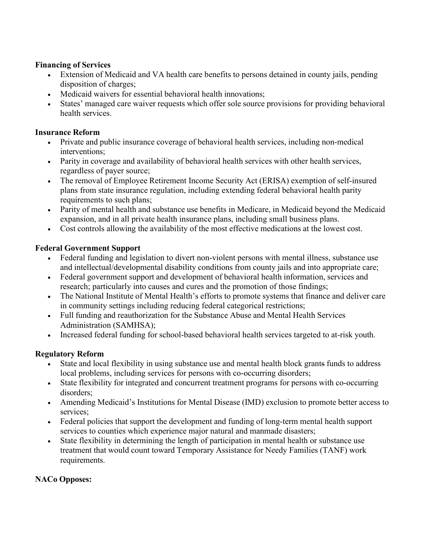## **Financing of Services**

- Extension of Medicaid and VA health care benefits to persons detained in county jails, pending disposition of charges;
- Medicaid waivers for essential behavioral health innovations:
- States' managed care waiver requests which offer sole source provisions for providing behavioral health services.

## **Insurance Reform**

- Private and public insurance coverage of behavioral health services, including non-medical interventions;
- Parity in coverage and availability of behavioral health services with other health services, regardless of payer source;
- The removal of Employee Retirement Income Security Act (ERISA) exemption of self-insured plans from state insurance regulation, including extending federal behavioral health parity requirements to such plans;
- Parity of mental health and substance use benefits in Medicare, in Medicaid beyond the Medicaid expansion, and in all private health insurance plans, including small business plans.
- Cost controls allowing the availability of the most effective medications at the lowest cost.

## **Federal Government Support**

- Federal funding and legislation to divert non-violent persons with mental illness, substance use and intellectual/developmental disability conditions from county jails and into appropriate care;
- Federal government support and development of behavioral health information, services and research; particularly into causes and cures and the promotion of those findings;
- The National Institute of Mental Health's efforts to promote systems that finance and deliver care in community settings including reducing federal categorical restrictions;
- Full funding and reauthorization for the Substance Abuse and Mental Health Services Administration (SAMHSA);
- Increased federal funding for school-based behavioral health services targeted to at-risk youth.

## **Regulatory Reform**

- State and local flexibility in using substance use and mental health block grants funds to address local problems, including services for persons with co-occurring disorders;
- State flexibility for integrated and concurrent treatment programs for persons with co-occurring disorders;
- Amending Medicaid's Institutions for Mental Disease (IMD) exclusion to promote better access to services;
- Federal policies that support the development and funding of long-term mental health support services to counties which experience major natural and manmade disasters;
- State flexibility in determining the length of participation in mental health or substance use treatment that would count toward Temporary Assistance for Needy Families (TANF) work requirements.

## **NACo Opposes:**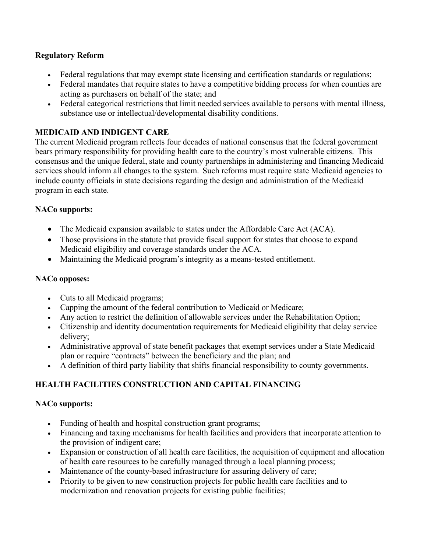## **Regulatory Reform**

- Federal regulations that may exempt state licensing and certification standards or regulations;
- Federal mandates that require states to have a competitive bidding process for when counties are acting as purchasers on behalf of the state; and
- Federal categorical restrictions that limit needed services available to persons with mental illness, substance use or intellectual/developmental disability conditions.

## **MEDICAID AND INDIGENT CARE**

The current Medicaid program reflects four decades of national consensus that the federal government bears primary responsibility for providing health care to the country's most vulnerable citizens. This consensus and the unique federal, state and county partnerships in administering and financing Medicaid services should inform all changes to the system. Such reforms must require state Medicaid agencies to include county officials in state decisions regarding the design and administration of the Medicaid program in each state.

## **NACo supports:**

- The Medicaid expansion available to states under the Affordable Care Act (ACA).
- Those provisions in the statute that provide fiscal support for states that choose to expand Medicaid eligibility and coverage standards under the ACA.
- Maintaining the Medicaid program's integrity as a means-tested entitlement.

## **NACo opposes:**

- Cuts to all Medicaid programs;
- Capping the amount of the federal contribution to Medicaid or Medicare;
- Any action to restrict the definition of allowable services under the Rehabilitation Option;
- Citizenship and identity documentation requirements for Medicaid eligibility that delay service delivery;
- Administrative approval of state benefit packages that exempt services under a State Medicaid plan or require "contracts" between the beneficiary and the plan; and
- A definition of third party liability that shifts financial responsibility to county governments.

# **HEALTH FACILITIES CONSTRUCTION AND CAPITAL FINANCING**

## **NACo supports:**

- Funding of health and hospital construction grant programs;
- Financing and taxing mechanisms for health facilities and providers that incorporate attention to the provision of indigent care;
- Expansion or construction of all health care facilities, the acquisition of equipment and allocation of health care resources to be carefully managed through a local planning process;
- Maintenance of the county-based infrastructure for assuring delivery of care;
- Priority to be given to new construction projects for public health care facilities and to modernization and renovation projects for existing public facilities;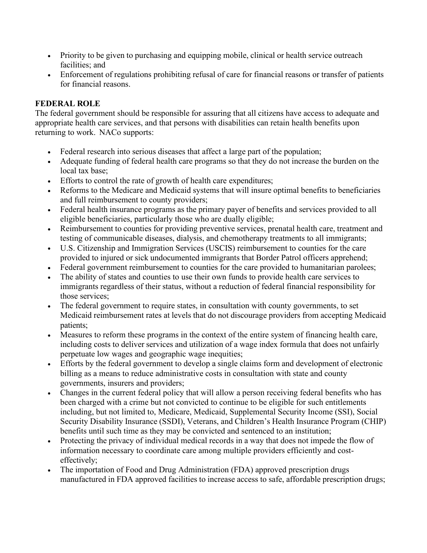- Priority to be given to purchasing and equipping mobile, clinical or health service outreach facilities; and
- Enforcement of regulations prohibiting refusal of care for financial reasons or transfer of patients for financial reasons.

## **FEDERAL ROLE**

The federal government should be responsible for assuring that all citizens have access to adequate and appropriate health care services, and that persons with disabilities can retain health benefits upon returning to work. NACo supports:

- Federal research into serious diseases that affect a large part of the population;
- Adequate funding of federal health care programs so that they do not increase the burden on the local tax base;
- Efforts to control the rate of growth of health care expenditures;
- Reforms to the Medicare and Medicaid systems that will insure optimal benefits to beneficiaries and full reimbursement to county providers;
- Federal health insurance programs as the primary payer of benefits and services provided to all eligible beneficiaries, particularly those who are dually eligible;
- Reimbursement to counties for providing preventive services, prenatal health care, treatment and testing of communicable diseases, dialysis, and chemotherapy treatments to all immigrants;
- U.S. Citizenship and Immigration Services (USCIS) reimbursement to counties for the care provided to injured or sick undocumented immigrants that Border Patrol officers apprehend;
- Federal government reimbursement to counties for the care provided to humanitarian parolees;
- The ability of states and counties to use their own funds to provide health care services to immigrants regardless of their status, without a reduction of federal financial responsibility for those services;
- The federal government to require states, in consultation with county governments, to set Medicaid reimbursement rates at levels that do not discourage providers from accepting Medicaid patients;
- Measures to reform these programs in the context of the entire system of financing health care, including costs to deliver services and utilization of a wage index formula that does not unfairly perpetuate low wages and geographic wage inequities;
- Efforts by the federal government to develop a single claims form and development of electronic billing as a means to reduce administrative costs in consultation with state and county governments, insurers and providers;
- Changes in the current federal policy that will allow a person receiving federal benefits who has been charged with a crime but not convicted to continue to be eligible for such entitlements including, but not limited to, Medicare, Medicaid, Supplemental Security Income (SSI), Social Security Disability Insurance (SSDI), Veterans, and Children's Health Insurance Program (CHIP) benefits until such time as they may be convicted and sentenced to an institution;
- Protecting the privacy of individual medical records in a way that does not impede the flow of information necessary to coordinate care among multiple providers efficiently and costeffectively;
- The importation of Food and Drug Administration (FDA) approved prescription drugs manufactured in FDA approved facilities to increase access to safe, affordable prescription drugs;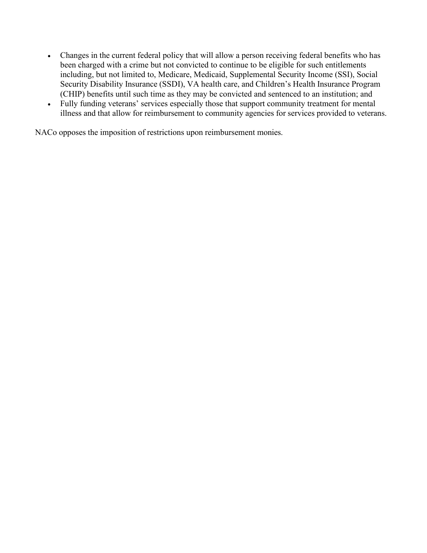- Changes in the current federal policy that will allow a person receiving federal benefits who has been charged with a crime but not convicted to continue to be eligible for such entitlements including, but not limited to, Medicare, Medicaid, Supplemental Security Income (SSI), Social Security Disability Insurance (SSDI), VA health care, and Children's Health Insurance Program (CHIP) benefits until such time as they may be convicted and sentenced to an institution; and
- Fully funding veterans' services especially those that support community treatment for mental illness and that allow for reimbursement to community agencies for services provided to veterans.

NACo opposes the imposition of restrictions upon reimbursement monies.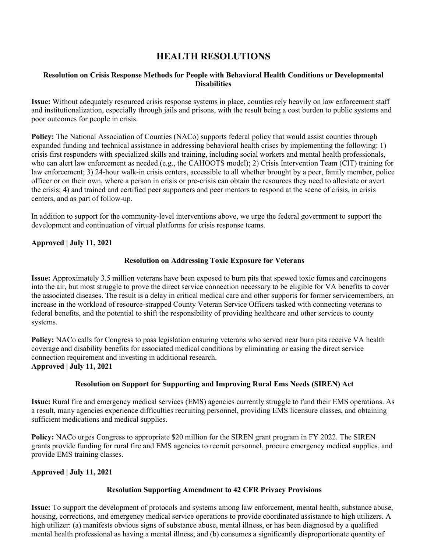# **HEALTH RESOLUTIONS**

#### **Resolution on Crisis Response Methods for People with Behavioral Health Conditions or Developmental Disabilities**

**Issue:** Without adequately resourced crisis response systems in place, counties rely heavily on law enforcement staff and institutionalization, especially through jails and prisons, with the result being a cost burden to public systems and poor outcomes for people in crisis.

**Policy:** The National Association of Counties (NACo) supports federal policy that would assist counties through expanded funding and technical assistance in addressing behavioral health crises by implementing the following: 1) crisis first responders with specialized skills and training, including social workers and mental health professionals, who can alert law enforcement as needed (e.g., the CAHOOTS model); 2) Crisis Intervention Team (CIT) training for law enforcement; 3) 24-hour walk-in crisis centers, accessible to all whether brought by a peer, family member, police officer or on their own, where a person in crisis or pre-crisis can obtain the resources they need to alleviate or avert the crisis; 4) and trained and certified peer supporters and peer mentors to respond at the scene of crisis, in crisis centers, and as part of follow-up.

In addition to support for the community-level interventions above, we urge the federal government to support the development and continuation of virtual platforms for crisis response teams.

#### **Approved | July 11, 2021**

#### **Resolution on Addressing Toxic Exposure for Veterans**

**Issue:** Approximately 3.5 million veterans have been exposed to burn pits that spewed toxic fumes and carcinogens into the air, but most struggle to prove the direct service connection necessary to be eligible for VA benefits to cover the associated diseases. The result is a delay in critical medical care and other supports for former servicemembers, an increase in the workload of resource-strapped County Veteran Service Officers tasked with connecting veterans to federal benefits, and the potential to shift the responsibility of providing healthcare and other services to county systems.

**Policy:** NACo calls for Congress to pass legislation ensuring veterans who served near burn pits receive VA health coverage and disability benefits for associated medical conditions by eliminating or easing the direct service connection requirement and investing in additional research. **Approved | July 11, 2021**

#### **Resolution on Support for Supporting and Improving Rural Ems Needs (SIREN) Act**

**Issue:** Rural fire and emergency medical services (EMS) agencies currently struggle to fund their EMS operations. As a result, many agencies experience difficulties recruiting personnel, providing EMS licensure classes, and obtaining sufficient medications and medical supplies.

**Policy:** NACo urges Congress to appropriate \$20 million for the SIREN grant program in FY 2022. The SIREN grants provide funding for rural fire and EMS agencies to recruit personnel, procure emergency medical supplies, and provide EMS training classes.

#### **Approved | July 11, 2021**

#### **Resolution Supporting Amendment to 42 CFR Privacy Provisions**

**Issue:** To support the development of protocols and systems among law enforcement, mental health, substance abuse, housing, corrections, and emergency medical service operations to provide coordinated assistance to high utilizers. A high utilizer: (a) manifests obvious signs of substance abuse, mental illness, or has been diagnosed by a qualified mental health professional as having a mental illness; and (b) consumes a significantly disproportionate quantity of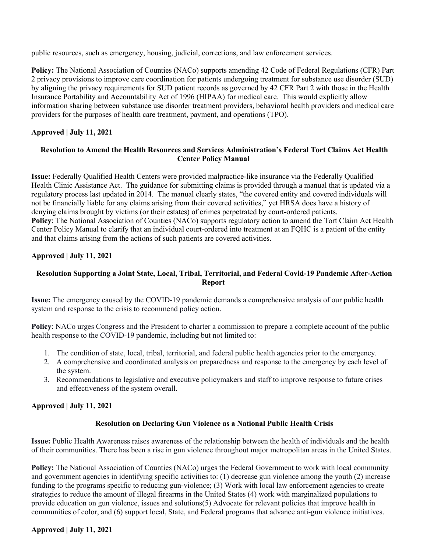public resources, such as emergency, housing, judicial, corrections, and law enforcement services.

**Policy:** The National Association of Counties (NACo) supports amending 42 Code of Federal Regulations (CFR) Part 2 privacy provisions to improve care coordination for patients undergoing treatment for substance use disorder (SUD) by aligning the privacy requirements for SUD patient records as governed by 42 CFR Part 2 with those in the Health Insurance Portability and Accountability Act of 1996 (HIPAA) for medical care. This would explicitly allow information sharing between substance use disorder treatment providers, behavioral health providers and medical care providers for the purposes of health care treatment, payment, and operations (TPO).

#### **Approved | July 11, 2021**

#### **Resolution to Amend the Health Resources and Services Administration's Federal Tort Claims Act Health Center Policy Manual**

**Issue:** Federally Qualified Health Centers were provided malpractice-like insurance via the Federally Qualified Health Clinic Assistance Act. The guidance for submitting claims is provided through a manual that is updated via a regulatory process last updated in 2014. The manual clearly states, "the covered entity and covered individuals will not be financially liable for any claims arising from their covered activities," yet HRSA does have a history of denying claims brought by victims (or their estates) of crimes perpetrated by court-ordered patients. **Policy**: The National Association of Counties (NACo) supports regulatory action to amend the Tort Claim Act Health Center Policy Manual to clarify that an individual court-ordered into treatment at an FQHC is a patient of the entity and that claims arising from the actions of such patients are covered activities.

#### **Approved | July 11, 2021**

### **Resolution Supporting a Joint State, Local, Tribal, Territorial, and Federal Covid-19 Pandemic After-Action Report**

**Issue:** The emergency caused by the COVID-19 pandemic demands a comprehensive analysis of our public health system and response to the crisis to recommend policy action.

**Policy**: NACo urges Congress and the President to charter a commission to prepare a complete account of the public health response to the COVID-19 pandemic, including but not limited to:

- 1. The condition of state, local, tribal, territorial, and federal public health agencies prior to the emergency.
- 2. A comprehensive and coordinated analysis on preparedness and response to the emergency by each level of the system.
- 3. Recommendations to legislative and executive policymakers and staff to improve response to future crises and effectiveness of the system overall.

#### **Approved | July 11, 2021**

#### **Resolution on Declaring Gun Violence as a National Public Health Crisis**

**Issue:** Public Health Awareness raises awareness of the relationship between the health of individuals and the health of their communities. There has been a rise in gun violence throughout major metropolitan areas in the United States.

**Policy:** The National Association of Counties (NACo) urges the Federal Government to work with local community and government agencies in identifying specific activities to: (1) decrease gun violence among the youth (2) increase funding to the programs specific to reducing gun-violence; (3) Work with local law enforcement agencies to create strategies to reduce the amount of illegal firearms in the United States (4) work with marginalized populations to provide education on gun violence, issues and solutions(5) Advocate for relevant policies that improve health in communities of color, and (6) support local, State, and Federal programs that advance anti-gun violence initiatives.

### **Approved | July 11, 2021**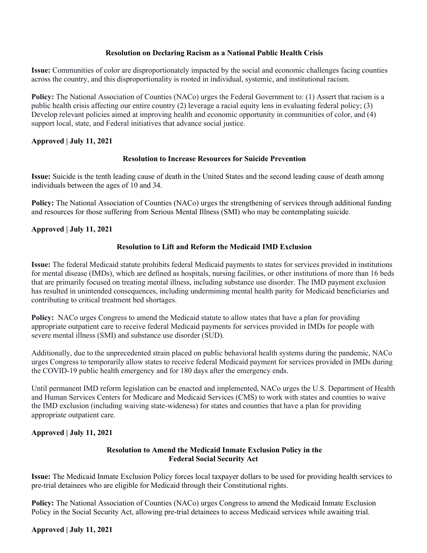#### **Resolution on Declaring Racism as a National Public Health Crisis**

**Issue:** Communities of color are disproportionately impacted by the social and economic challenges facing counties across the country, and this disproportionality is rooted in individual, systemic, and institutional racism.

**Policy:** The National Association of Counties (NACo) urges the Federal Government to: (1) Assert that racism is a public health crisis affecting our entire country (2) leverage a racial equity lens in evaluating federal policy; (3) Develop relevant policies aimed at improving health and economic opportunity in communities of color, and (4) support local, state, and Federal initiatives that advance social justice.

#### **Approved | July 11, 2021**

#### **Resolution to Increase Resources for Suicide Prevention**

**Issue:** Suicide is the tenth leading cause of death in the United States and the second leading cause of death among individuals between the ages of 10 and 34.

**Policy:** The National Association of Counties (NACo) urges the strengthening of services through additional funding and resources for those suffering from Serious Mental Illness (SMI) who may be contemplating suicide*.* 

#### **Approved | July 11, 2021**

#### **Resolution to Lift and Reform the Medicaid IMD Exclusion**

**Issue:** The federal Medicaid statute prohibits federal Medicaid payments to states for services provided in institutions for mental disease (IMDs), which are defined as hospitals, nursing facilities, or other institutions of more than 16 beds that are primarily focused on treating mental illness, including substance use disorder. The IMD payment exclusion has resulted in unintended consequences, including undermining mental health parity for Medicaid beneficiaries and contributing to critical treatment bed shortages.

**Policy:** NACo urges Congress to amend the Medicaid statute to allow states that have a plan for providing appropriate outpatient care to receive federal Medicaid payments for services provided in IMDs for people with severe mental illness (SMI) and substance use disorder (SUD).

Additionally, due to the unprecedented strain placed on public behavioral health systems during the pandemic, NACo urges Congress to temporarily allow states to receive federal Medicaid payment for services provided in IMDs during the COVID-19 public health emergency and for 180 days after the emergency ends.

Until permanent IMD reform legislation can be enacted and implemented, NACo urges the U.S. Department of Health and Human Services Centers for Medicare and Medicaid Services (CMS) to work with states and counties to waive the IMD exclusion (including waiving state-wideness) for states and counties that have a plan for providing appropriate outpatient care.

### **Approved | July 11, 2021**

#### **Resolution to Amend the Medicaid Inmate Exclusion Policy in the Federal Social Security Act**

**Issue:** The Medicaid Inmate Exclusion Policy forces local taxpayer dollars to be used for providing health services to pre-trial detainees who are eligible for Medicaid through their Constitutional rights.

**Policy:** The National Association of Counties (NACo) urges Congress to amend the Medicaid Inmate Exclusion Policy in the Social Security Act, allowing pre-trial detainees to access Medicaid services while awaiting trial.

#### **Approved | July 11, 2021**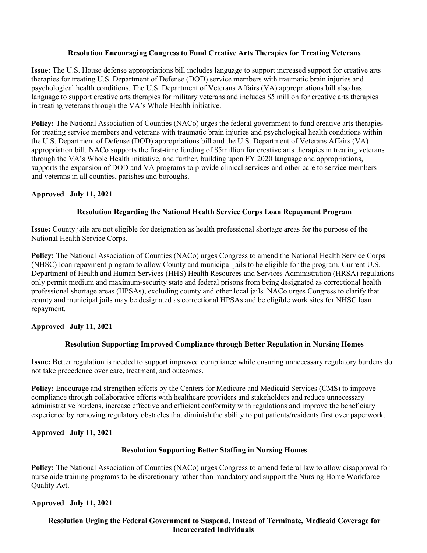#### **Resolution Encouraging Congress to Fund Creative Arts Therapies for Treating Veterans**

**Issue:** The U.S. House defense appropriations bill includes language to support increased support for creative arts therapies for treating U.S. Department of Defense (DOD) service members with traumatic brain injuries and psychological health conditions. The U.S. Department of Veterans Affairs (VA) appropriations bill also has language to support creative arts therapies for military veterans and includes \$5 million for creative arts therapies in treating veterans through the VA's Whole Health initiative.

**Policy:** The National Association of Counties (NACo) urges the federal government to fund creative arts therapies for treating service members and veterans with traumatic brain injuries and psychological health conditions within the U.S. Department of Defense (DOD) appropriations bill and the U.S. Department of Veterans Affairs (VA) appropriation bill. NACo supports the first-time funding of \$5million for creative arts therapies in treating veterans through the VA's Whole Health initiative, and further, building upon FY 2020 language and appropriations, supports the expansion of DOD and VA programs to provide clinical services and other care to service members and veterans in all counties, parishes and boroughs.

#### **Approved | July 11, 2021**

#### **Resolution Regarding the National Health Service Corps Loan Repayment Program**

**Issue:** County jails are not eligible for designation as health professional shortage areas for the purpose of the National Health Service Corps.

**Policy:** The National Association of Counties (NACo) urges Congress to amend the National Health Service Corps (NHSC) loan repayment program to allow County and municipal jails to be eligible for the program. Current U.S. Department of Health and Human Services (HHS) Health Resources and Services Administration (HRSA) regulations only permit medium and maximum-security state and federal prisons from being designated as correctional health professional shortage areas (HPSAs), excluding county and other local jails. NACo urges Congress to clarify that county and municipal jails may be designated as correctional HPSAs and be eligible work sites for NHSC loan repayment.

#### **Approved | July 11, 2021**

#### **Resolution Supporting Improved Compliance through Better Regulation in Nursing Homes**

**Issue:** Better regulation is needed to support improved compliance while ensuring unnecessary regulatory burdens do not take precedence over care, treatment, and outcomes.

**Policy:** Encourage and strengthen efforts by the Centers for Medicare and Medicaid Services (CMS) to improve compliance through collaborative efforts with healthcare providers and stakeholders and reduce unnecessary administrative burdens, increase effective and efficient conformity with regulations and improve the beneficiary experience by removing regulatory obstacles that diminish the ability to put patients/residents first over paperwork.

### **Approved | July 11, 2021**

#### **Resolution Supporting Better Staffing in Nursing Homes**

**Policy:** The National Association of Counties (NACo) urges Congress to amend federal law to allow disapproval for nurse aide training programs to be discretionary rather than mandatory and support the Nursing Home Workforce Quality Act.

### **Approved | July 11, 2021**

### **Resolution Urging the Federal Government to Suspend, Instead of Terminate, Medicaid Coverage for Incarcerated Individuals**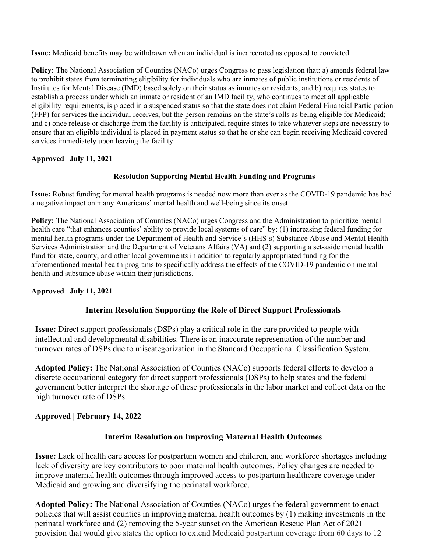**Issue:** Medicaid benefits may be withdrawn when an individual is incarcerated as opposed to convicted.

**Policy:** The National Association of Counties (NACo) urges Congress to pass legislation that: a) amends federal law to prohibit states from terminating eligibility for individuals who are inmates of public institutions or residents of Institutes for Mental Disease (IMD) based solely on their status as inmates or residents; and b) requires states to establish a process under which an inmate or resident of an IMD facility, who continues to meet all applicable eligibility requirements, is placed in a suspended status so that the state does not claim Federal Financial Participation (FFP) for services the individual receives, but the person remains on the state's rolls as being eligible for Medicaid; and c) once release or discharge from the facility is anticipated, require states to take whatever steps are necessary to ensure that an eligible individual is placed in payment status so that he or she can begin receiving Medicaid covered services immediately upon leaving the facility.

### **Approved | July 11, 2021**

### **Resolution Supporting Mental Health Funding and Programs**

**Issue:** Robust funding for mental health programs is needed now more than ever as the COVID-19 pandemic has had a negative impact on many Americans' mental health and well-being since its onset.

**Policy:** The National Association of Counties (NACo) urges Congress and the Administration to prioritize mental health care "that enhances counties' ability to provide local systems of care" by: (1) increasing federal funding for mental health programs under the Department of Health and Service's (HHS's) Substance Abuse and Mental Health Services Administration and the Department of Veterans Affairs (VA) and (2) supporting a set-aside mental health fund for state, county, and other local governments in addition to regularly appropriated funding for the aforementioned mental health programs to specifically address the effects of the COVID-19 pandemic on mental health and substance abuse within their jurisdictions.

### **Approved | July 11, 2021**

## **Interim Resolution Supporting the Role of Direct Support Professionals**

**Issue:** Direct support professionals (DSPs) play a critical role in the care provided to people with intellectual and developmental disabilities. There is an inaccurate representation of the number and turnover rates of DSPs due to miscategorization in the Standard Occupational Classification System.

**Adopted Policy:** The National Association of Counties (NACo) supports federal efforts to develop a discrete occupational category for direct support professionals (DSPs) to help states and the federal government better interpret the shortage of these professionals in the labor market and collect data on the high turnover rate of DSPs.

## **Approved | February 14, 2022**

## **Interim Resolution on Improving Maternal Health Outcomes**

**Issue:** Lack of health care access for postpartum women and children, and workforce shortages including lack of diversity are key contributors to poor maternal health outcomes. Policy changes are needed to improve maternal health outcomes through improved access to postpartum healthcare coverage under Medicaid and growing and diversifying the perinatal workforce.

**Adopted Policy:** The National Association of Counties (NACo) urges the federal government to enact policies that will assist counties in improving maternal health outcomes by (1) making investments in the perinatal workforce and (2) removing the 5-year sunset on the American Rescue Plan Act of 2021 provision that would give states the option to extend Medicaid postpartum coverage from 60 days to 12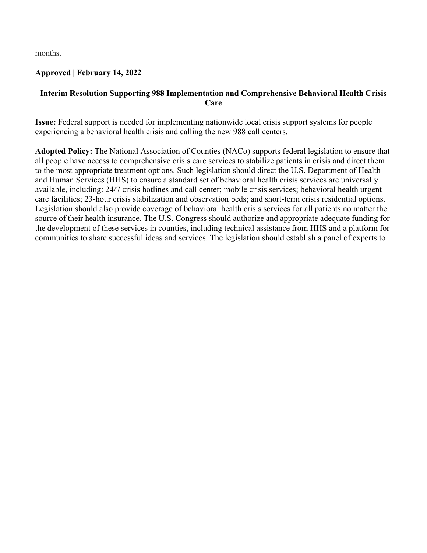months.

## **Approved | February 14, 2022**

## **Interim Resolution Supporting 988 Implementation and Comprehensive Behavioral Health Crisis Care**

**Issue:** Federal support is needed for implementing nationwide local crisis support systems for people experiencing a behavioral health crisis and calling the new 988 call centers.

**Adopted Policy:** The National Association of Counties (NACo) supports federal legislation to ensure that all people have access to comprehensive crisis care services to stabilize patients in crisis and direct them to the most appropriate treatment options. Such legislation should direct the U.S. Department of Health and Human Services (HHS) to ensure a standard set of behavioral health crisis services are universally available, including: 24/7 crisis hotlines and call center; mobile crisis services; behavioral health urgent care facilities; 23-hour crisis stabilization and observation beds; and short-term crisis residential options. Legislation should also provide coverage of behavioral health crisis services for all patients no matter the source of their health insurance. The U.S. Congress should authorize and appropriate adequate funding for the development of these services in counties, including technical assistance from HHS and a platform for communities to share successful ideas and services. The legislation should establish a panel of experts to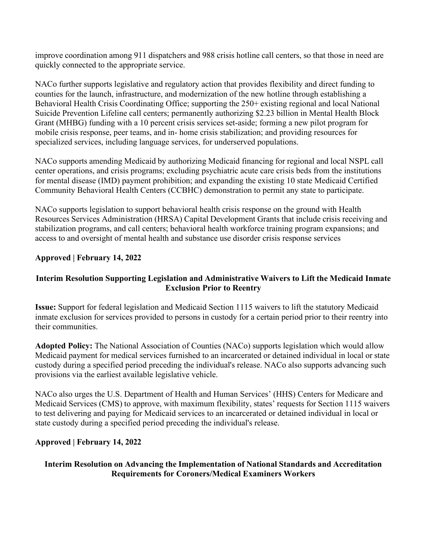improve coordination among 911 dispatchers and 988 crisis hotline call centers, so that those in need are quickly connected to the appropriate service.

NACo further supports legislative and regulatory action that provides flexibility and direct funding to counties for the launch, infrastructure, and modernization of the new hotline through establishing a Behavioral Health Crisis Coordinating Office; supporting the 250+ existing regional and local National Suicide Prevention Lifeline call centers; permanently authorizing \$2.23 billion in Mental Health Block Grant (MHBG) funding with a 10 percent crisis services set-aside; forming a new pilot program for mobile crisis response, peer teams, and in- home crisis stabilization; and providing resources for specialized services, including language services, for underserved populations.

NACo supports amending Medicaid by authorizing Medicaid financing for regional and local NSPL call center operations, and crisis programs; excluding psychiatric acute care crisis beds from the institutions for mental disease (IMD) payment prohibition; and expanding the existing 10 state Medicaid Certified Community Behavioral Health Centers (CCBHC) demonstration to permit any state to participate.

NACo supports legislation to support behavioral health crisis response on the ground with Health Resources Services Administration (HRSA) Capital Development Grants that include crisis receiving and stabilization programs, and call centers; behavioral health workforce training program expansions; and access to and oversight of mental health and substance use disorder crisis response services

## **Approved | February 14, 2022**

## **Interim Resolution Supporting Legislation and Administrative Waivers to Lift the Medicaid Inmate Exclusion Prior to Reentry**

**Issue:** Support for federal legislation and Medicaid Section 1115 waivers to lift the statutory Medicaid inmate exclusion for services provided to persons in custody for a certain period prior to their reentry into their communities.

**Adopted Policy:** The National Association of Counties (NACo) supports legislation which would allow Medicaid payment for medical services furnished to an incarcerated or detained individual in local or state custody during a specified period preceding the individual's release. NACo also supports advancing such provisions via the earliest available legislative vehicle.

NACo also urges the U.S. Department of Health and Human Services' (HHS) Centers for Medicare and Medicaid Services (CMS) to approve, with maximum flexibility, states' requests for Section 1115 waivers to test delivering and paying for Medicaid services to an incarcerated or detained individual in local or state custody during a specified period preceding the individual's release.

## **Approved | February 14, 2022**

## **Interim Resolution on Advancing the Implementation of National Standards and Accreditation Requirements for Coroners/Medical Examiners Workers**